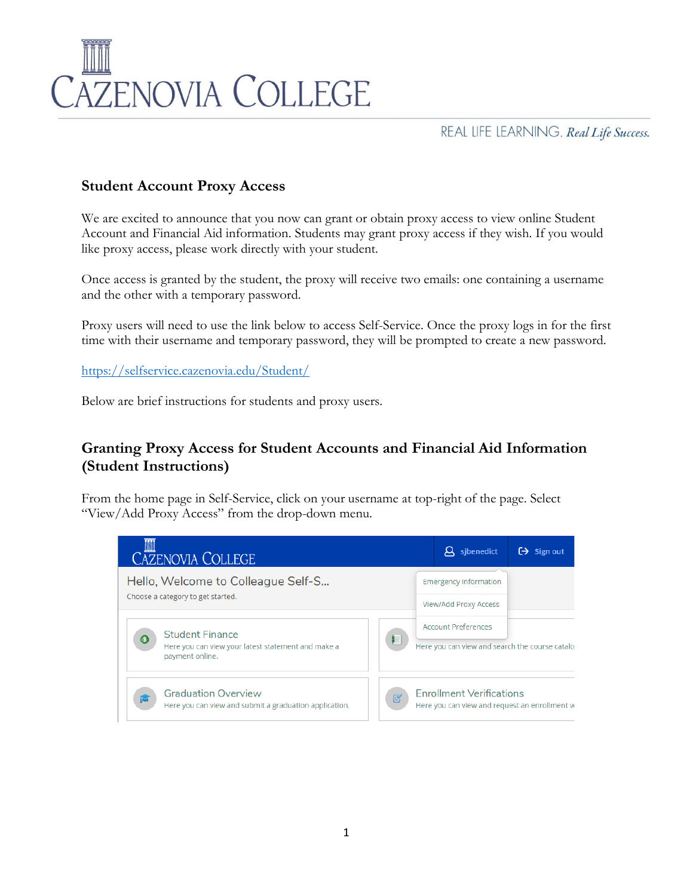

REAL LIFE LEARNING. Real Life Success.

## **Student Account Proxy Access**

We are excited to announce that you now can grant or obtain proxy access to view online Student Account and Financial Aid information. Students may grant proxy access if they wish. If you would like proxy access, please work directly with your student.

Once access is granted by the student, the proxy will receive two emails: one containing a username and the other with a temporary password.

Proxy users will need to use the link below to access Self-Service. Once the proxy logs in for the first time with their username and temporary password, they will be prompted to create a new password.

<https://selfservice.cazenovia.edu/Student/>

Below are brief instructions for students and proxy users.

## **Granting Proxy Access for Student Accounts and Financial Aid Information (Student Instructions)**

From the home page in Self-Service, click on your username at top-right of the page. Select "View/Add Proxy Access" from the drop-down menu.

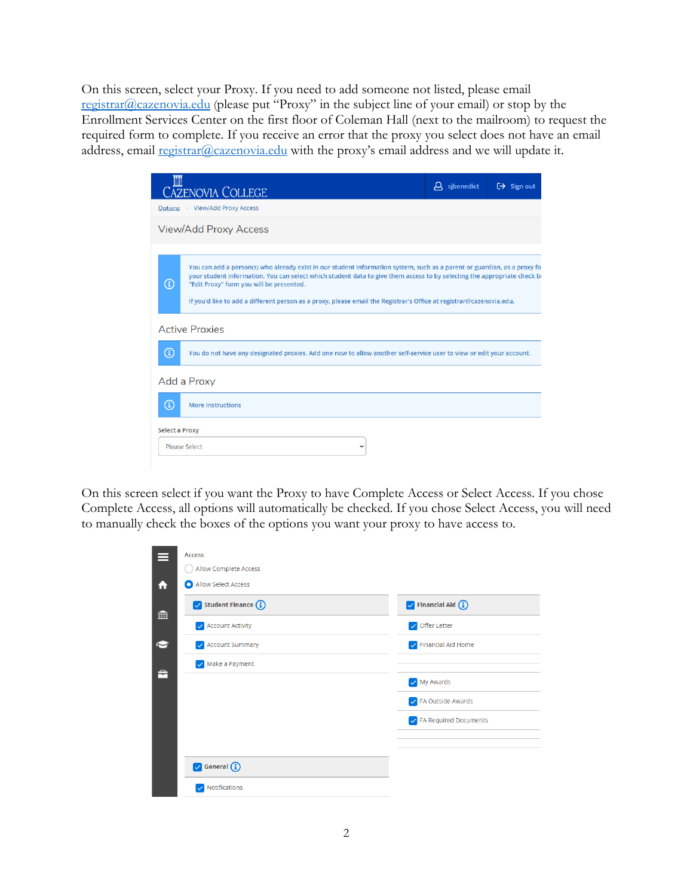On this screen, select your Proxy. If you need to add someone not listed, please email [registrar@cazenovia.edu](mailto:registrar@cazenovia.edu) (please put "Proxy" in the subject line of your email) or stop by the Enrollment Services Center on the first floor of Coleman Hall (next to the mailroom) to request the required form to complete. If you receive an error that the proxy you select does not have an email address, email  $\frac{register(a)cazenovia.edu}{\text{with the proxy's email address and we will update it.}}$ 

| <b>CAZENOVIA COLLEGE</b>                                                                                                                                                                                                                                                                                                                                                                                                                 | $\beta$ sjbenedict | $\Theta$ Sign out |
|------------------------------------------------------------------------------------------------------------------------------------------------------------------------------------------------------------------------------------------------------------------------------------------------------------------------------------------------------------------------------------------------------------------------------------------|--------------------|-------------------|
| Options View/Add Proxy Access                                                                                                                                                                                                                                                                                                                                                                                                            |                    |                   |
| <b>View/Add Proxy Access</b>                                                                                                                                                                                                                                                                                                                                                                                                             |                    |                   |
| You can add a person(s) who already exist in our student information system, such as a parent or guardian, as a proxy fo<br>your student information. You can select which student data to give them access to by selecting the appropriate check be<br>$^\copyright$<br>"Edit Proxy" form you will be presented.<br>If you'd like to add a different person as a proxy, please email the Registrar's Office at registrar@cazenovia.edu. |                    |                   |
| <b>Active Proxies</b><br>$^\mathrm{(i)}$<br>You do not have any designated proxies. Add one now to allow another self-service user to view or edit your account.                                                                                                                                                                                                                                                                         |                    |                   |
| Add a Proxy                                                                                                                                                                                                                                                                                                                                                                                                                              |                    |                   |
| $\textcircled{\scriptsize{1}}$<br><b>More Instructions</b>                                                                                                                                                                                                                                                                                                                                                                               |                    |                   |
| <b>Select a Proxy</b>                                                                                                                                                                                                                                                                                                                                                                                                                    |                    |                   |
| Please Select<br>$\checkmark$                                                                                                                                                                                                                                                                                                                                                                                                            |                    |                   |

On this screen select if you want the Proxy to have Complete Access or Select Access. If you chose Complete Access, all options will automatically be checked. If you chose Select Access, you will need to manually check the boxes of the options you want your proxy to have access to.

| ⋿ | <b>Access</b>                          |                                     |
|---|----------------------------------------|-------------------------------------|
|   | <b>Allow Complete Access</b>           |                                     |
| 合 | Allow Select Access<br>О               |                                     |
| 孟 | $\triangledown$ Student Finance $(i)$  | $\triangledown$ Financial Aid $(i)$ |
|   | Account Activity                       | Offer Letter                        |
| N | <b>Account Summary</b><br>$\checkmark$ | Financial Aid Home                  |
| 흅 | Make a Payment                         |                                     |
|   |                                        | My Awards                           |
|   |                                        | ✓ FA Outside Awards                 |
|   |                                        | B FA Required Documents             |
|   |                                        |                                     |
|   | General (i)                            |                                     |
|   | Notifications<br>$\bullet$             |                                     |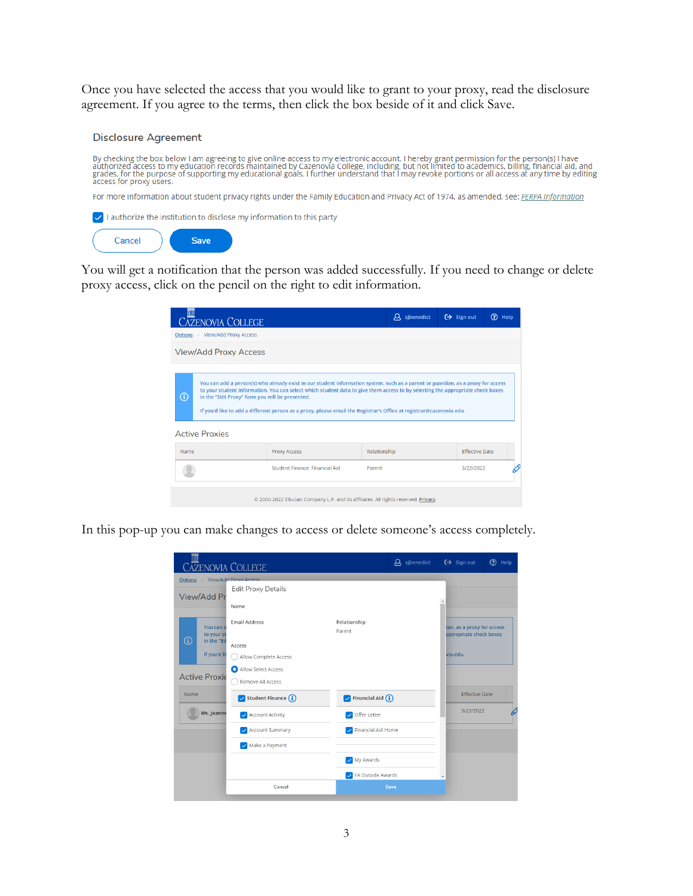Once you have selected the access that you would like to grant to your proxy, read the disclosure agreement. If you agree to the terms, then click the box beside of it and click Save.

#### **Disclosure Agreement**

By checking the box below I am agreeing to give online access to my electronic account. I hereby grant permission for the person(s) I have<br>authorized access to my education records maintained by Cazenovia College, includin

For more information about student privacy rights under the Family Education and Privacy Act of 1974, as amended, see: FERPA Information



You will get a notification that the person was added successfully. If you need to change or delete proxy access, click on the pencil on the right to edit information.

| <b>CAZENOVIA COLLEGE</b>                                                                                   |                                                                                                                                                                                                                                                                                                                                                                                           |              | $\alpha$ sibenedict | $\Theta$ Sign out     | $\circledR$<br>Help |
|------------------------------------------------------------------------------------------------------------|-------------------------------------------------------------------------------------------------------------------------------------------------------------------------------------------------------------------------------------------------------------------------------------------------------------------------------------------------------------------------------------------|--------------|---------------------|-----------------------|---------------------|
| · View/Add Proxy Access<br>Options                                                                         |                                                                                                                                                                                                                                                                                                                                                                                           |              |                     |                       |                     |
| <b>View/Add Proxy Access</b>                                                                               |                                                                                                                                                                                                                                                                                                                                                                                           |              |                     |                       |                     |
| $\textcircled{\scriptsize{1}}$<br>in the "Edit Proxy" form you will be presented.<br><b>Active Proxies</b> | You can add a person(s) who already exist in our student information system, such as a parent or guardian, as a proxy for access<br>to your student information. You can select which student data to give them access to by selecting the appropriate check boxes<br>If you'd like to add a different person as a proxy, please email the Registrar's Office at registrar@cazenovia.edu. |              |                     |                       |                     |
| Name                                                                                                       | <b>Proxy Access</b>                                                                                                                                                                                                                                                                                                                                                                       | Relationship |                     | <b>Effective Date</b> |                     |
|                                                                                                            | Student Finance, Financial Aid                                                                                                                                                                                                                                                                                                                                                            | Parent       |                     | 3/22/2022             |                     |
|                                                                                                            | @ 2000-2022 Ellucian Company L.P. and its affiliates. All rights reserved. Privacy                                                                                                                                                                                                                                                                                                        |              |                     |                       |                     |

In this pop-up you can make changes to access or delete someone's access completely.

| <b>AZENOVIA COLLEGE</b>       |                           |                           | $\beta$ sjbenedict | $\Theta$ Sign out                                     | $(2)$ Help |
|-------------------------------|---------------------------|---------------------------|--------------------|-------------------------------------------------------|------------|
| Options View/Add Proxy Access |                           |                           |                    |                                                       |            |
| View/Add Pr                   | <b>Edit Proxy Details</b> |                           |                    | $\Delta$                                              |            |
|                               | Name                      |                           |                    |                                                       |            |
| You can a<br>to your st<br>Œ  | <b>Email Address</b>      | Relationship<br>Parent    |                    | ian, as a proxy for access<br>appropriate check boxes |            |
| in the "Ed                    | Access                    |                           |                    |                                                       |            |
| If you'd lil                  | Allow Complete Access     |                           |                    | via.edu.                                              |            |
|                               | Allow Select Access       |                           |                    |                                                       |            |
| <b>Active Proxie</b>          | Remove All Access         |                           |                    |                                                       |            |
| Name                          | Student Finance (i)       | Financial Aid $(i)$       |                    | <b>Effective Date</b>                                 |            |
| Ms. Jeanne                    | <b>Account Activity</b>   | Offer Letter              |                    | 3/22/2022                                             |            |
|                               | <b>Account Summary</b>    | <b>Financial Aid Home</b> |                    |                                                       |            |
|                               | Make a Payment            |                           |                    |                                                       |            |
|                               |                           | My Awards                 |                    |                                                       |            |
|                               |                           | A FA Outside Awards       |                    |                                                       |            |
|                               | Cancel                    |                           | Save               |                                                       |            |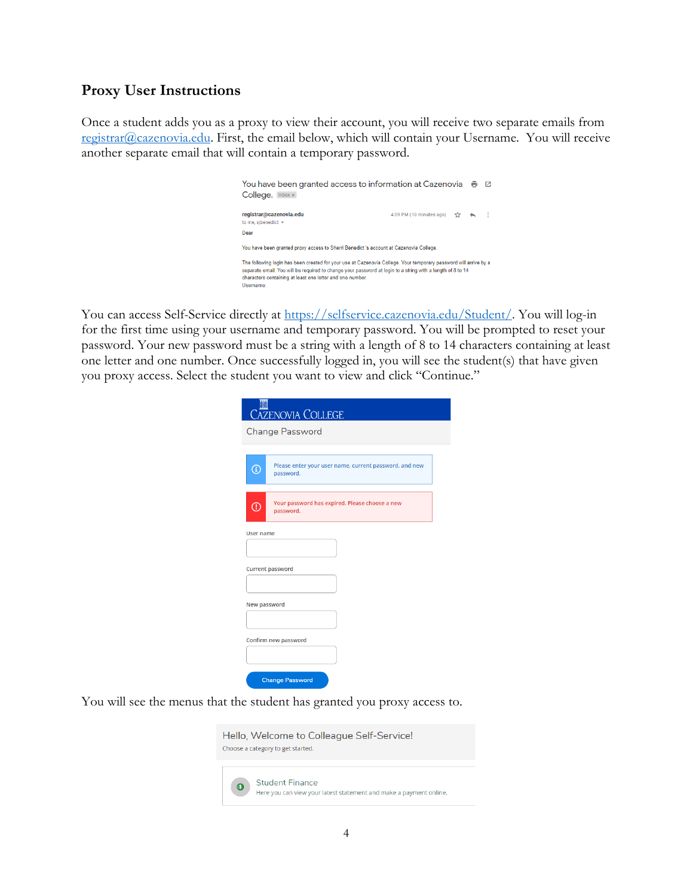## **Proxy User Instructions**

Once a student adds you as a proxy to view their account, you will receive two separate emails from [registrar@cazenovia.edu.](mailto:registrar@cazenovia.edu) First, the email below, which will contain your Username. You will receive another separate email that will contain a temporary password.

| You have been granted access to information at Cazenovia 一 兩<br>College. Inbox x                                                                                                                                                                                                                         |                                                                         |  | - 62 |
|----------------------------------------------------------------------------------------------------------------------------------------------------------------------------------------------------------------------------------------------------------------------------------------------------------|-------------------------------------------------------------------------|--|------|
| registrar@cazenovia.edu<br>to me, sibenedict $\sim$<br>Dear                                                                                                                                                                                                                                              | 4:09 PM (10 minutes ago) $\frac{1}{2}$ $\leftrightarrow$ $\leftarrow$ : |  |      |
| You have been granted proxy access to Sherri Benedict 's account at Cazenovia College.                                                                                                                                                                                                                   |                                                                         |  |      |
| The following login has been created for your use at Cazenovia College. Your temporary password will arrive by a<br>separate email. You will be required to change your password at login to a string with a length of 8 to 14<br>characters containing at least one letter and one number.<br>Username: |                                                                         |  |      |

You can access Self-Service directly at [https://selfservice.cazenovia.edu/Student/.](https://selfservice.cazenovia.edu/Student/) You will log-in for the first time using your username and temporary password. You will be prompted to reset your password. Your new password must be a string with a length of 8 to 14 characters containing at least one letter and one number. Once successfully logged in, you will see the student(s) that have given you proxy access. Select the student you want to view and click "Continue."

|                         | <b>CAZENOVIA COLLEGE</b>                                            |
|-------------------------|---------------------------------------------------------------------|
|                         | <b>Change Password</b>                                              |
|                         |                                                                     |
| $\overline{\mathbb{G}}$ | Please enter your user name, current password, and new<br>password. |
| $^{\copyright}$         | Your password has expired. Please choose a new<br>password.         |
| User name               |                                                                     |
|                         |                                                                     |
|                         | <b>Current password</b>                                             |
|                         |                                                                     |
| New password            |                                                                     |
|                         |                                                                     |
|                         | Confirm new password                                                |
|                         |                                                                     |
|                         | <b>Change Password</b>                                              |

You will see the menus that the student has granted you proxy access to.

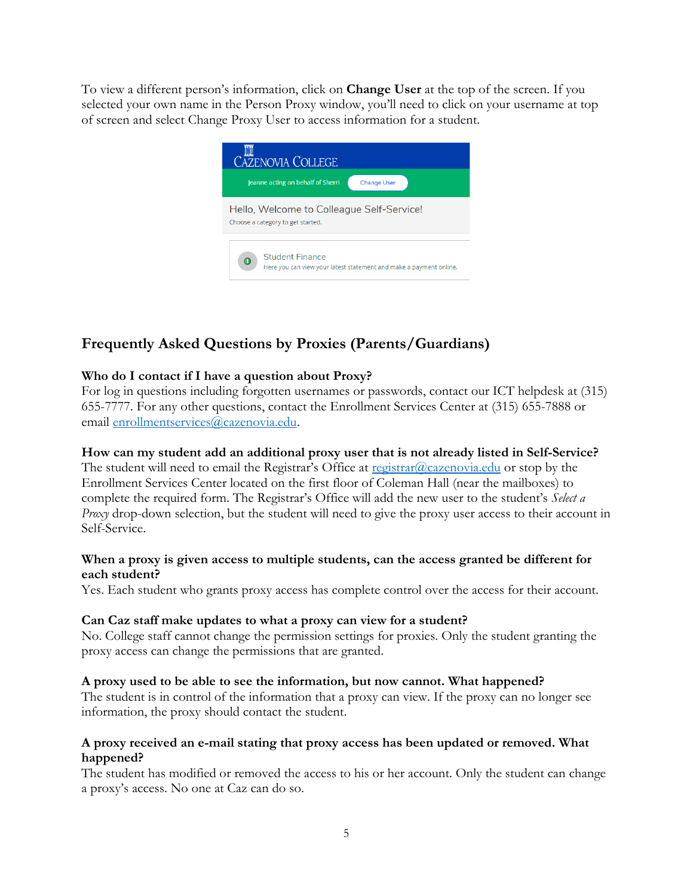To view a different person's information, click on **Change User** at the top of the screen. If you selected your own name in the Person Proxy window, you'll need to click on your username at top of screen and select Change Proxy User to access information for a student.



# **Frequently Asked Questions by Proxies (Parents/Guardians)**

## **Who do I contact if I have a question about Proxy?**

For log in questions including forgotten usernames or passwords, contact our ICT helpdesk at (315) 655-7777. For any other questions, contact the Enrollment Services Center at (315) 655-7888 or email [enrollmentservices@cazenovia.edu.](mailto:enrollmentservices@cazenovia.edu)

## **How can my student add an additional proxy user that is not already listed in Self-Service?**

The student will need to email the Registrar's Office at  $registrar@cazenovia.edu$  $registrar@cazenovia.edu$  $registrar@cazenovia.edu$  or stop by the</u> Enrollment Services Center located on the first floor of Coleman Hall (near the mailboxes) to complete the required form. The Registrar's Office will add the new user to the student's *Select a Proxy* drop-down selection, but the student will need to give the proxy user access to their account in Self-Service.

#### **When a proxy is given access to multiple students, can the access granted be different for each student?**

Yes. Each student who grants proxy access has complete control over the access for their account.

#### **Can Caz staff make updates to what a proxy can view for a student?**

No. College staff cannot change the permission settings for proxies. Only the student granting the proxy access can change the permissions that are granted.

#### **A proxy used to be able to see the information, but now cannot. What happened?**

The student is in control of the information that a proxy can view. If the proxy can no longer see information, the proxy should contact the student.

#### **A proxy received an e-mail stating that proxy access has been updated or removed. What happened?**

The student has modified or removed the access to his or her account. Only the student can change a proxy's access. No one at Caz can do so.